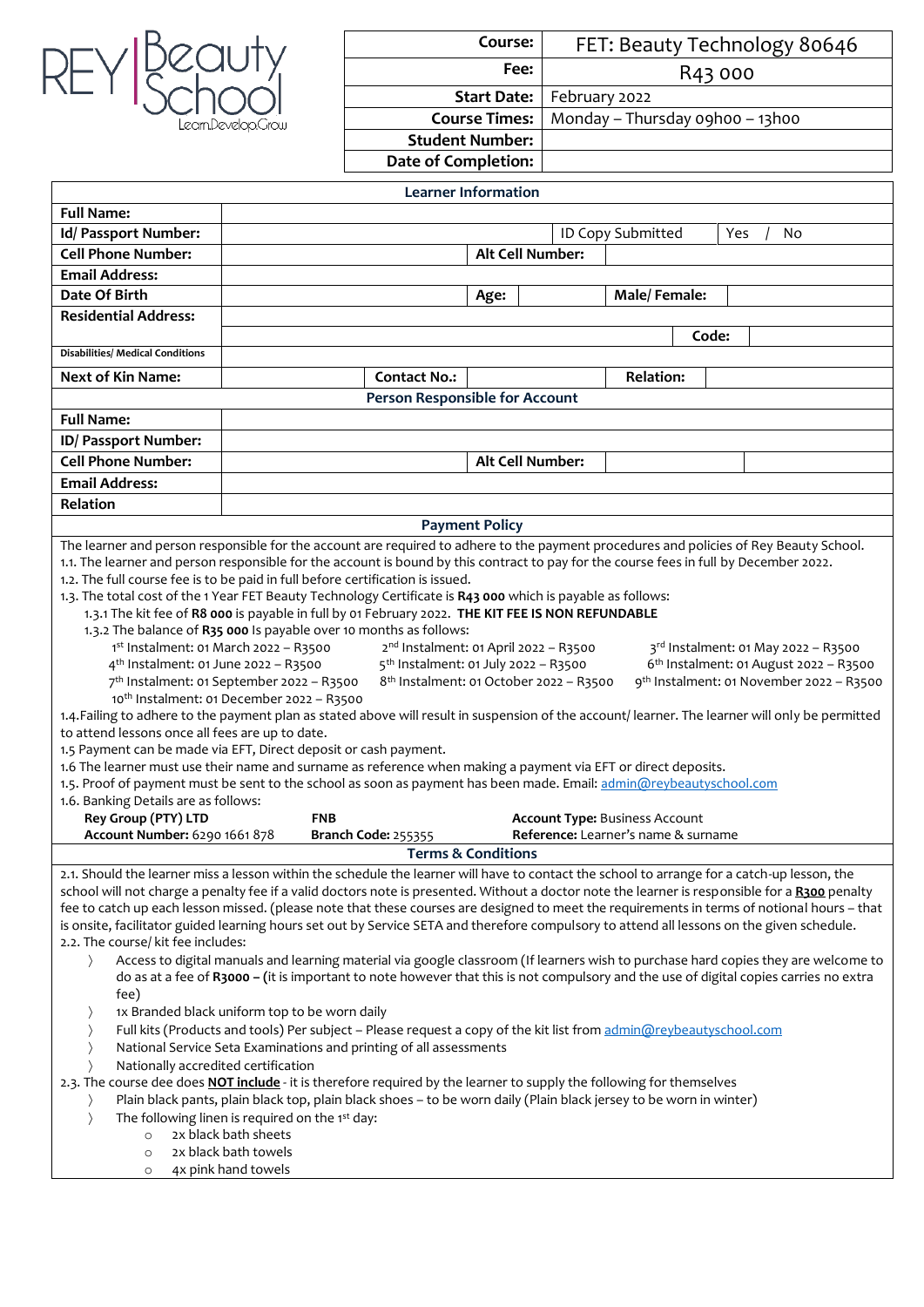| LearnDevelop.Grow |
|-------------------|
|-------------------|

|                                                                                                                                                                                                                                                                                                                                 |                                              | Course:                               |                               | FET: Beauty Technology 80646 |                                                                              |       |    |
|---------------------------------------------------------------------------------------------------------------------------------------------------------------------------------------------------------------------------------------------------------------------------------------------------------------------------------|----------------------------------------------|---------------------------------------|-------------------------------|------------------------------|------------------------------------------------------------------------------|-------|----|
|                                                                                                                                                                                                                                                                                                                                 |                                              | Fee:                                  |                               | R43 000                      |                                                                              |       |    |
| _earn.Develop.Grow                                                                                                                                                                                                                                                                                                              |                                              | <b>Start Date:</b>                    |                               | February 2022                |                                                                              |       |    |
|                                                                                                                                                                                                                                                                                                                                 |                                              |                                       | <b>Course Times:</b>          |                              | Monday - Thursday oghoo - 13hoo                                              |       |    |
|                                                                                                                                                                                                                                                                                                                                 |                                              |                                       | <b>Student Number:</b>        |                              |                                                                              |       |    |
|                                                                                                                                                                                                                                                                                                                                 |                                              |                                       | <b>Date of Completion:</b>    |                              |                                                                              |       |    |
| <b>Learner Information</b>                                                                                                                                                                                                                                                                                                      |                                              |                                       |                               |                              |                                                                              |       |    |
| <b>Full Name:</b>                                                                                                                                                                                                                                                                                                               |                                              |                                       |                               |                              |                                                                              |       |    |
| Id/Passport Number:                                                                                                                                                                                                                                                                                                             |                                              |                                       |                               |                              | ID Copy Submitted                                                            | Yes   | No |
| <b>Cell Phone Number:</b>                                                                                                                                                                                                                                                                                                       |                                              | Alt Cell Number:                      |                               |                              |                                                                              |       |    |
| <b>Email Address:</b>                                                                                                                                                                                                                                                                                                           |                                              |                                       |                               |                              |                                                                              |       |    |
| Date Of Birth                                                                                                                                                                                                                                                                                                                   |                                              |                                       | Age:                          |                              | Male/Female:                                                                 |       |    |
| <b>Residential Address:</b>                                                                                                                                                                                                                                                                                                     |                                              |                                       |                               |                              |                                                                              |       |    |
| <b>Disabilities/ Medical Conditions</b>                                                                                                                                                                                                                                                                                         |                                              |                                       |                               |                              |                                                                              | Code: |    |
| <b>Next of Kin Name:</b>                                                                                                                                                                                                                                                                                                        |                                              | <b>Contact No.:</b>                   |                               |                              | <b>Relation:</b>                                                             |       |    |
|                                                                                                                                                                                                                                                                                                                                 |                                              | <b>Person Responsible for Account</b> |                               |                              |                                                                              |       |    |
| <b>Full Name:</b>                                                                                                                                                                                                                                                                                                               |                                              |                                       |                               |                              |                                                                              |       |    |
| ID/ Passport Number:                                                                                                                                                                                                                                                                                                            |                                              |                                       |                               |                              |                                                                              |       |    |
| <b>Cell Phone Number:</b>                                                                                                                                                                                                                                                                                                       |                                              |                                       | Alt Cell Number:              |                              |                                                                              |       |    |
| <b>Email Address:</b>                                                                                                                                                                                                                                                                                                           |                                              |                                       |                               |                              |                                                                              |       |    |
| Relation                                                                                                                                                                                                                                                                                                                        |                                              |                                       |                               |                              |                                                                              |       |    |
| <b>Payment Policy</b>                                                                                                                                                                                                                                                                                                           |                                              |                                       |                               |                              |                                                                              |       |    |
| The learner and person responsible for the account are required to adhere to the payment procedures and policies of Rey Beauty School.<br>1.1. The learner and person responsible for the account is bound by this contract to pay for the course fees in full by December 2022.                                                |                                              |                                       |                               |                              |                                                                              |       |    |
| 1.2. The full course fee is to be paid in full before certification is issued.                                                                                                                                                                                                                                                  |                                              |                                       |                               |                              |                                                                              |       |    |
| 1.3. The total cost of the 1 Year FET Beauty Technology Certificate is R43 000 which is payable as follows:<br>1.3.1 The kit fee of R8 000 is payable in full by 01 February 2022. THE KIT FEE IS NON REFUNDABLE                                                                                                                |                                              |                                       |                               |                              |                                                                              |       |    |
| 1.3.2 The balance of R35 000 Is payable over 10 months as follows:                                                                                                                                                                                                                                                              |                                              |                                       |                               |                              |                                                                              |       |    |
| 1st Instalment: 01 March 2022 - R3500<br>2 <sup>nd</sup> Instalment: 01 April 2022 - R3500<br>3rd Instalment: 01 May 2022 - R3500                                                                                                                                                                                               |                                              |                                       |                               |                              |                                                                              |       |    |
| 4 <sup>th</sup> Instalment: 01 June 2022 - R3500<br>5 <sup>th</sup> Instalment: 01 July 2022 - R3500<br>6 <sup>th</sup> Instalment: 01 August 2022 - R3500                                                                                                                                                                      |                                              |                                       |                               |                              |                                                                              |       |    |
| 7 <sup>th</sup> Instalment: 01 September 2022 - R3500<br>8 <sup>th</sup> Instalment: 01 October 2022 - R3500<br>9th Instalment: 01 November 2022 - R3500<br>10th Instalment: 01 December 2022 - R3500                                                                                                                           |                                              |                                       |                               |                              |                                                                              |       |    |
| 1.4. Failing to adhere to the payment plan as stated above will result in suspension of the account/ learner. The learner will only be permitted                                                                                                                                                                                |                                              |                                       |                               |                              |                                                                              |       |    |
| to attend lessons once all fees are up to date.                                                                                                                                                                                                                                                                                 |                                              |                                       |                               |                              |                                                                              |       |    |
| 1.5 Payment can be made via EFT, Direct deposit or cash payment.<br>1.6 The learner must use their name and surname as reference when making a payment via EFT or direct deposits.                                                                                                                                              |                                              |                                       |                               |                              |                                                                              |       |    |
| 1.5. Proof of payment must be sent to the school as soon as payment has been made. Email: admin@reybeautyschool.com                                                                                                                                                                                                             |                                              |                                       |                               |                              |                                                                              |       |    |
| 1.6. Banking Details are as follows:                                                                                                                                                                                                                                                                                            |                                              |                                       |                               |                              |                                                                              |       |    |
| Rey Group (PTY) LTD<br>Account Number: 6290 1661 878                                                                                                                                                                                                                                                                            | <b>FNB</b>                                   | <b>Branch Code: 255355</b>            |                               |                              | <b>Account Type: Business Account</b><br>Reference: Learner's name & surname |       |    |
|                                                                                                                                                                                                                                                                                                                                 |                                              |                                       | <b>Terms &amp; Conditions</b> |                              |                                                                              |       |    |
| 2.1. Should the learner miss a lesson within the schedule the learner will have to contact the school to arrange for a catch-up lesson, the                                                                                                                                                                                     |                                              |                                       |                               |                              |                                                                              |       |    |
| school will not charge a penalty fee if a valid doctors note is presented. Without a doctor note the learner is responsible for a R300 penalty                                                                                                                                                                                  |                                              |                                       |                               |                              |                                                                              |       |    |
| fee to catch up each lesson missed. (please note that these courses are designed to meet the requirements in terms of notional hours - that<br>is onsite, facilitator guided learning hours set out by Service SETA and therefore compulsory to attend all lessons on the given schedule.<br>2.2. The course/ kit fee includes: |                                              |                                       |                               |                              |                                                                              |       |    |
| Access to digital manuals and learning material via google classroom (If learners wish to purchase hard copies they are welcome to                                                                                                                                                                                              |                                              |                                       |                               |                              |                                                                              |       |    |
| do as at a fee of R3000 - (it is important to note however that this is not compulsory and the use of digital copies carries no extra<br>fee)                                                                                                                                                                                   |                                              |                                       |                               |                              |                                                                              |       |    |
| 1x Branded black uniform top to be worn daily                                                                                                                                                                                                                                                                                   |                                              |                                       |                               |                              |                                                                              |       |    |
| Full kits (Products and tools) Per subject - Please request a copy of the kit list from admin@reybeautyschool.com                                                                                                                                                                                                               |                                              |                                       |                               |                              |                                                                              |       |    |
| National Service Seta Examinations and printing of all assessments<br>$\rangle$                                                                                                                                                                                                                                                 |                                              |                                       |                               |                              |                                                                              |       |    |
| Nationally accredited certification<br>2.3. The course dee does <b>NOT include</b> - it is therefore required by the learner to supply the following for themselves                                                                                                                                                             |                                              |                                       |                               |                              |                                                                              |       |    |
| Plain black pants, plain black top, plain black shoes - to be worn daily (Plain black jersey to be worn in winter)                                                                                                                                                                                                              |                                              |                                       |                               |                              |                                                                              |       |    |
| The following linen is required on the 1st day:<br>$\rangle$                                                                                                                                                                                                                                                                    |                                              |                                       |                               |                              |                                                                              |       |    |
| $\circ$<br>$\circ$                                                                                                                                                                                                                                                                                                              | 2x black bath sheets<br>2x black bath towels |                                       |                               |                              |                                                                              |       |    |
| $\circ$                                                                                                                                                                                                                                                                                                                         | 4x pink hand towels                          |                                       |                               |                              |                                                                              |       |    |